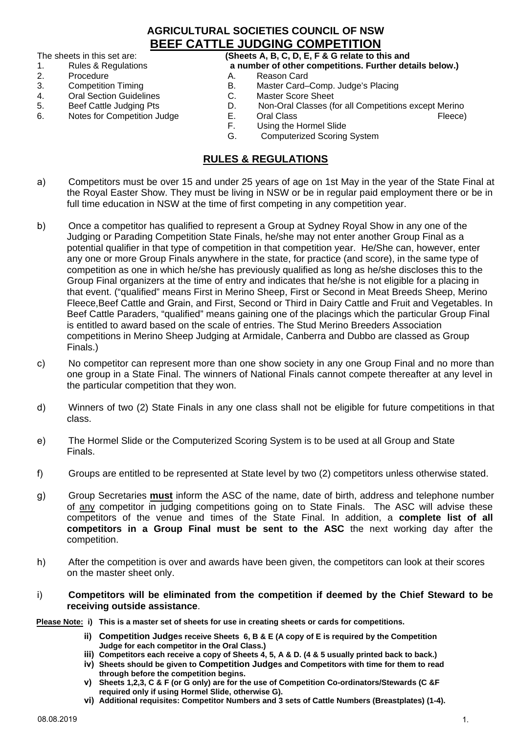#### **AGRICULTURAL SOCIETIES COUNCIL OF NSW BEEF CATTLE JUDGING COMPETITION**

The sheets in this set are: **(Sheets A, B, C, D, E, F & G relate to this and**

- 
- 
- 2. Procedure and A. Reason Card<br>3. Competition Timing and B. Master Card-
- **Oral Section Guidelines**
- 
- Notes for Competition Judge E.<br>F.
- 1. Rules & Regulations **a number of other competitions. Further details below.)**
	-
- 3. Competition Timing B. Master Card–Comp. Judge's Placing<br>4. Cral Section Guidelines C. Master Score Sheet
	-
- 5. Beef Cattle Judging Pts **D.** Non-Oral Classes (for all Competitions except Merino 6. Notes for Competition Judge E. Oral Class
	-
	- Using the Hormel Slide
	- G. Computerized Scoring System

#### **RULES & REGULATIONS**

- a) Competitors must be over 15 and under 25 years of age on 1st May in the year of the State Final at the Royal Easter Show. They must be living in NSW or be in regular paid employment there or be in full time education in NSW at the time of first competing in any competition year.
- b) Once a competitor has qualified to represent a Group at Sydney Royal Show in any one of the Judging or Parading Competition State Finals, he/she may not enter another Group Final as a potential qualifier in that type of competition in that competition year. He/She can, however, enter any one or more Group Finals anywhere in the state, for practice (and score), in the same type of competition as one in which he/she has previously qualified as long as he/she discloses this to the Group Final organizers at the time of entry and indicates that he/she is not eligible for a placing in that event. ("qualified" means First in Merino Sheep, First or Second in Meat Breeds Sheep, Merino Fleece,Beef Cattle and Grain, and First, Second or Third in Dairy Cattle and Fruit and Vegetables. In Beef Cattle Paraders, "qualified" means gaining one of the placings which the particular Group Final is entitled to award based on the scale of entries. The Stud Merino Breeders Association competitions in Merino Sheep Judging at Armidale, Canberra and Dubbo are classed as Group Finals.)
- c) No competitor can represent more than one show society in any one Group Final and no more than one group in a State Final. The winners of National Finals cannot compete thereafter at any level in the particular competition that they won.
- d) Winners of two (2) State Finals in any one class shall not be eligible for future competitions in that class.
- e) The Hormel Slide or the Computerized Scoring System is to be used at all Group and State Finals.
- f) Groups are entitled to be represented at State level by two (2) competitors unless otherwise stated.
- g) Group Secretaries **must** inform the ASC of the name, date of birth, address and telephone number of any competitor in judging competitions going on to State Finals. The ASC will advise these competitors of the venue and times of the State Final. In addition, a **complete list of all competitors in a Group Final must be sent to the ASC** the next working day after the competition.
- h) After the competition is over and awards have been given, the competitors can look at their scores on the master sheet only.

#### i) **Competitors will be eliminated from the competition if deemed by the Chief Steward to be receiving outside assistance**.

**Please Note: i) This is a master set of sheets for use in creating sheets or cards for competitions.**

- **ii) Competition Judges receive Sheets 6, B & E (A copy of E is required by the Competition Judge for each competitor in the Oral Class.)**
- **iii) Competitors each receive a copy of Sheets 4, 5, A & D. (4 & 5 usually printed back to back.)**
- **iv) Sheets should be given to Competition Judges and Competitors with time for them to read through before the competition begins.**
- **v) Sheets 1,2,3, C & F (or G only) are for the use of Competition Co-ordinators/Stewards (C &F required only if using Hormel Slide, otherwise G).**
- **vi) Additional requisites: Competitor Numbers and 3 sets of Cattle Numbers (Breastplates) (1-4).**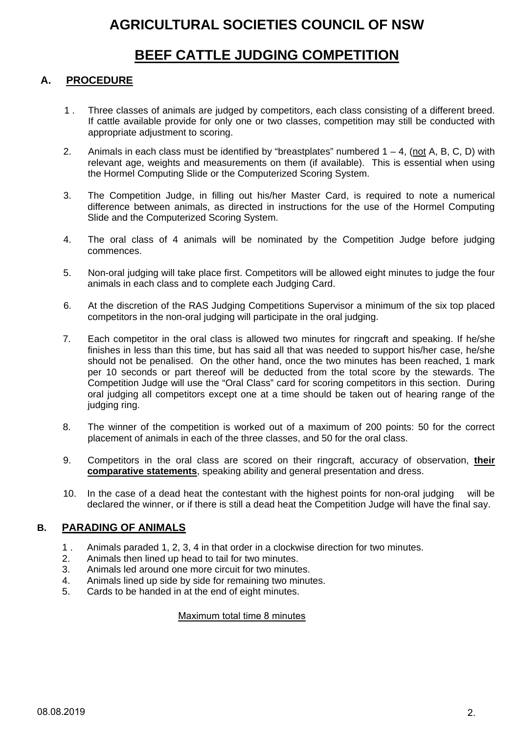## **BEEF CATTLE JUDGING COMPETITION**

## **A. PROCEDURE**

- 1 . Three classes of animals are judged by competitors, each class consisting of a different breed. If cattle available provide for only one or two classes, competition may still be conducted with appropriate adjustment to scoring.
- 2. Animals in each class must be identified by "breastplates" numbered  $1 4$ , (not A, B, C, D) with relevant age, weights and measurements on them (if available). This is essential when using the Hormel Computing Slide or the Computerized Scoring System.
- 3. The Competition Judge, in filling out his/her Master Card, is required to note a numerical difference between animals, as directed in instructions for the use of the Hormel Computing Slide and the Computerized Scoring System.
- 4. The oral class of 4 animals will be nominated by the Competition Judge before judging commences.
- 5. Non-oral judging will take place first. Competitors will be allowed eight minutes to judge the four animals in each class and to complete each Judging Card.
- 6. At the discretion of the RAS Judging Competitions Supervisor a minimum of the six top placed competitors in the non-oral judging will participate in the oral judging.
- 7. Each competitor in the oral class is allowed two minutes for ringcraft and speaking. If he/she finishes in less than this time, but has said all that was needed to support his/her case, he/she should not be penalised. On the other hand, once the two minutes has been reached, 1 mark per 10 seconds or part thereof will be deducted from the total score by the stewards. The Competition Judge will use the "Oral Class" card for scoring competitors in this section. During oral judging all competitors except one at a time should be taken out of hearing range of the judging ring.
- 8. The winner of the competition is worked out of a maximum of 200 points: 50 for the correct placement of animals in each of the three classes, and 50 for the oral class.
- 9. Competitors in the oral class are scored on their ringcraft, accuracy of observation, **their comparative statements**, speaking ability and general presentation and dress.
- 10. In the case of a dead heat the contestant with the highest points for non-oral judging will be declared the winner, or if there is still a dead heat the Competition Judge will have the final say.

#### **B. PARADING OF ANIMALS**

- 1 . Animals paraded 1, 2, 3, 4 in that order in a clockwise direction for two minutes.
- 2. Animals then lined up head to tail for two minutes.
- 3. Animals led around one more circuit for two minutes.
- 4. Animals lined up side by side for remaining two minutes.
- 5. Cards to be handed in at the end of eight minutes.

#### Maximum total time 8 minutes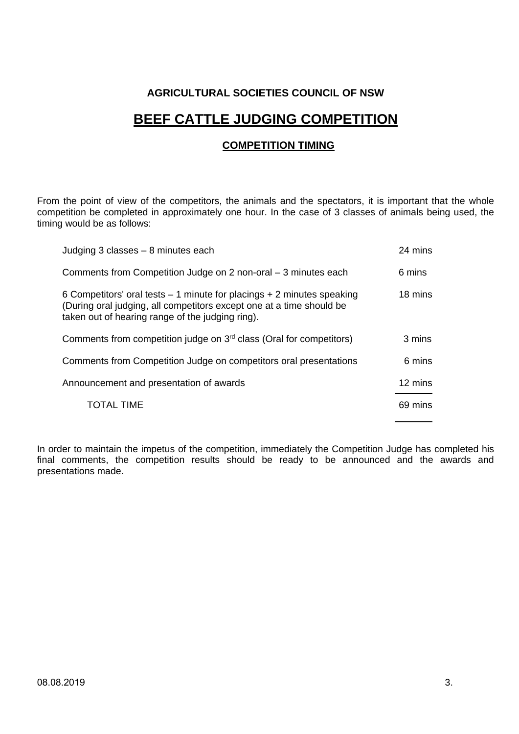# **BEEF CATTLE JUDGING COMPETITION**

#### **COMPETITION TIMING**

From the point of view of the competitors, the animals and the spectators, it is important that the whole competition be completed in approximately one hour. In the case of 3 classes of animals being used, the timing would be as follows:

| Judging 3 classes - 8 minutes each                                                                                                                                                                   | 24 mins |
|------------------------------------------------------------------------------------------------------------------------------------------------------------------------------------------------------|---------|
| Comments from Competition Judge on 2 non-oral – 3 minutes each                                                                                                                                       | 6 mins  |
| 6 Competitors' oral tests $-1$ minute for placings $+2$ minutes speaking<br>(During oral judging, all competitors except one at a time should be<br>taken out of hearing range of the judging ring). | 18 mins |
| Comments from competition judge on 3 <sup>rd</sup> class (Oral for competitors)                                                                                                                      | 3 mins  |
| Comments from Competition Judge on competitors oral presentations                                                                                                                                    | 6 mins  |
| Announcement and presentation of awards                                                                                                                                                              | 12 mins |
| <b>TOTAL TIME</b>                                                                                                                                                                                    | 69 mins |

In order to maintain the impetus of the competition, immediately the Competition Judge has completed his final comments, the competition results should be ready to be announced and the awards and presentations made.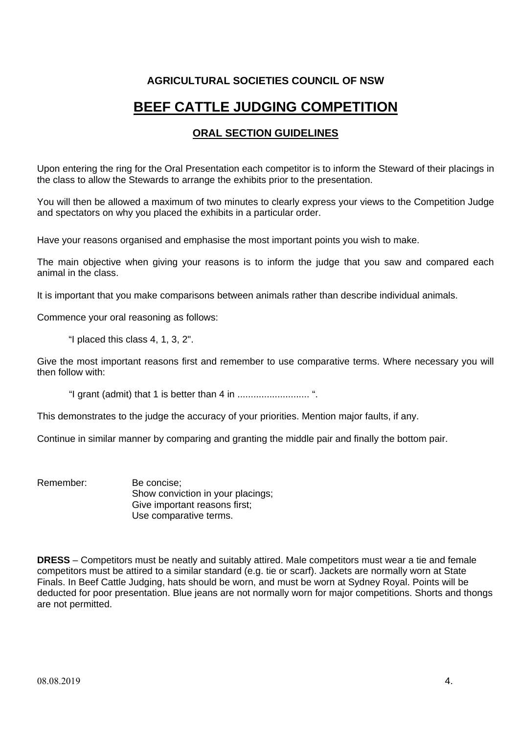# **BEEF CATTLE JUDGING COMPETITION**

#### **ORAL SECTION GUIDELINES**

Upon entering the ring for the Oral Presentation each competitor is to inform the Steward of their placings in the class to allow the Stewards to arrange the exhibits prior to the presentation.

You will then be allowed a maximum of two minutes to clearly express your views to the Competition Judge and spectators on why you placed the exhibits in a particular order.

Have your reasons organised and emphasise the most important points you wish to make.

The main objective when giving your reasons is to inform the judge that you saw and compared each animal in the class.

It is important that you make comparisons between animals rather than describe individual animals.

Commence your oral reasoning as follows:

"I placed this class 4, 1, 3, 2".

Give the most important reasons first and remember to use comparative terms. Where necessary you will then follow with:

"I grant (admit) that 1 is better than 4 in ........................... ".

This demonstrates to the judge the accuracy of your priorities. Mention major faults, if any.

Continue in similar manner by comparing and granting the middle pair and finally the bottom pair.

Remember: Be concise; Show conviction in your placings: Give important reasons first; Use comparative terms.

**DRESS** – Competitors must be neatly and suitably attired. Male competitors must wear a tie and female competitors must be attired to a similar standard (e.g. tie or scarf). Jackets are normally worn at State Finals. In Beef Cattle Judging, hats should be worn, and must be worn at Sydney Royal. Points will be deducted for poor presentation. Blue jeans are not normally worn for major competitions. Shorts and thongs are not permitted.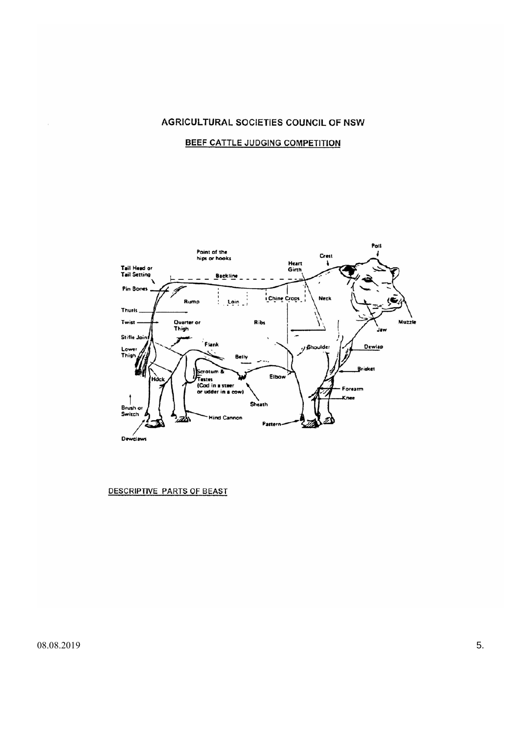#### BEEF CATTLE JUDGING COMPETITION



DESCRIPTIVE PARTS OF BEAST

 $08.08.2019$  5.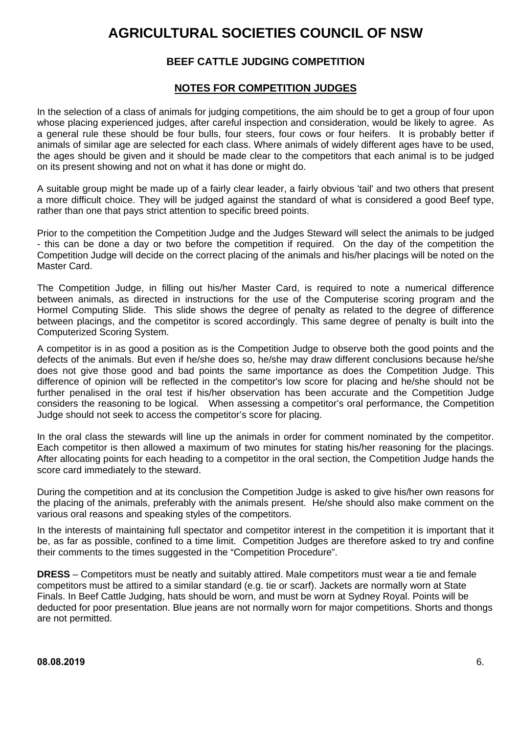#### **BEEF CATTLE JUDGING COMPETITION**

#### **NOTES FOR COMPETITION JUDGES**

In the selection of a class of animals for judging competitions, the aim should be to get a group of four upon whose placing experienced judges, after careful inspection and consideration, would be likely to agree. As a general rule these should be four bulls, four steers, four cows or four heifers. It is probably better if animals of similar age are selected for each class. Where animals of widely different ages have to be used, the ages should be given and it should be made clear to the competitors that each animal is to be judged on its present showing and not on what it has done or might do.

A suitable group might be made up of a fairly clear leader, a fairly obvious 'tail' and two others that present a more difficult choice. They will be judged against the standard of what is considered a good Beef type, rather than one that pays strict attention to specific breed points.

Prior to the competition the Competition Judge and the Judges Steward will select the animals to be judged - this can be done a day or two before the competition if required. On the day of the competition the Competition Judge will decide on the correct placing of the animals and his/her placings will be noted on the Master Card.

The Competition Judge, in filling out his/her Master Card, is required to note a numerical difference between animals, as directed in instructions for the use of the Computerise scoring program and the Hormel Computing Slide. This slide shows the degree of penalty as related to the degree of difference between placings, and the competitor is scored accordingly. This same degree of penalty is built into the Computerized Scoring System.

A competitor is in as good a position as is the Competition Judge to observe both the good points and the defects of the animals. But even if he/she does so, he/she may draw different conclusions because he/she does not give those good and bad points the same importance as does the Competition Judge. This difference of opinion will be reflected in the competitor's low score for placing and he/she should not be further penalised in the oral test if his/her observation has been accurate and the Competition Judge considers the reasoning to be logical. When assessing a competitor's oral performance, the Competition Judge should not seek to access the competitor's score for placing.

In the oral class the stewards will line up the animals in order for comment nominated by the competitor. Each competitor is then allowed a maximum of two minutes for stating his/her reasoning for the placings. After allocating points for each heading to a competitor in the oral section, the Competition Judge hands the score card immediately to the steward.

During the competition and at its conclusion the Competition Judge is asked to give his/her own reasons for the placing of the animals, preferably with the animals present. He/she should also make comment on the various oral reasons and speaking styles of the competitors.

In the interests of maintaining full spectator and competitor interest in the competition it is important that it be, as far as possible, confined to a time limit. Competition Judges are therefore asked to try and confine their comments to the times suggested in the "Competition Procedure".

**DRESS** – Competitors must be neatly and suitably attired. Male competitors must wear a tie and female competitors must be attired to a similar standard (e.g. tie or scarf). Jackets are normally worn at State Finals. In Beef Cattle Judging, hats should be worn, and must be worn at Sydney Royal. Points will be deducted for poor presentation. Blue jeans are not normally worn for major competitions. Shorts and thongs are not permitted.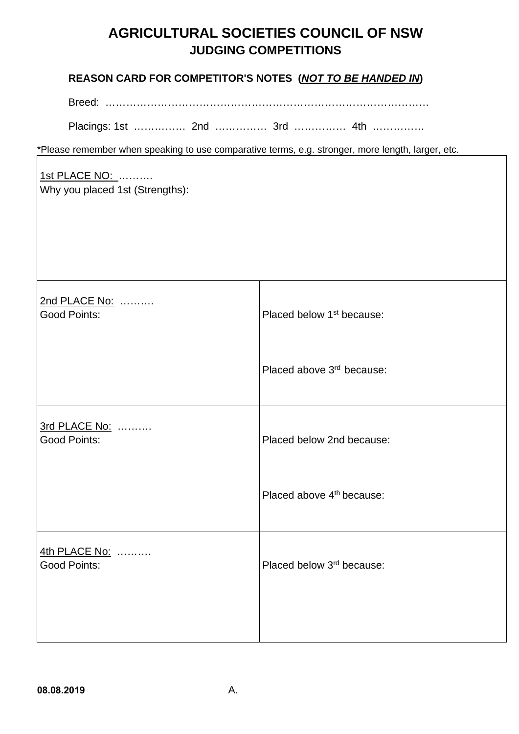## **REASON CARD FOR COMPETITOR'S NOTES (***NOT TO BE HANDED IN***)**

Breed: …………………………………………………………………………………

Placings: 1st …………… 2nd …………… 3rd …………… 4th ……………

\*Please remember when speaking to use comparative terms, e.g. stronger, more length, larger, etc.

#### 1st PLACE NO: ………. Why you placed 1st (Strengths):

2nd PLACE No: ………. Good Points: example a set of the placed below 1<sup>st</sup> because: Placed above 3rd because: 3rd PLACE No: ………. Good Points: Placed below 2nd because: Placed above 4<sup>th</sup> because: 4th PLACE No: ………. Good Points: example a set of the placed below 3<sup>rd</sup> because: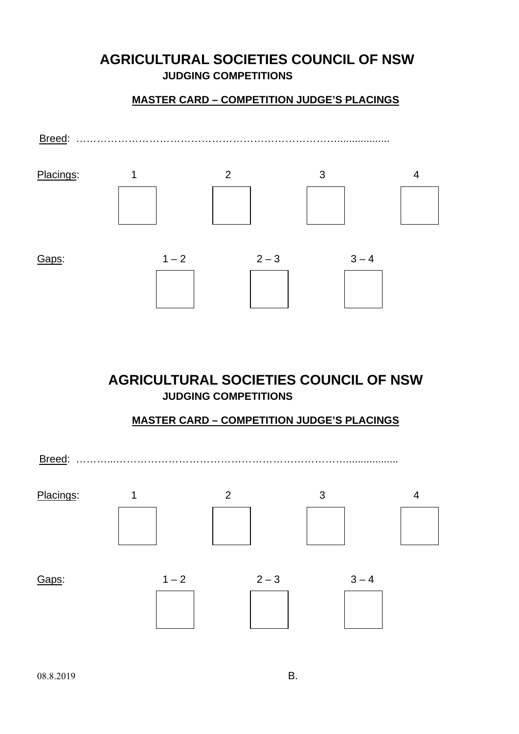## **MASTER CARD – COMPETITION JUDGE'S PLACINGS**



**AGRICULTURAL SOCIETIES COUNCIL OF NSW JUDGING COMPETITIONS**

#### **MASTER CARD – COMPETITION JUDGE'S PLACINGS**

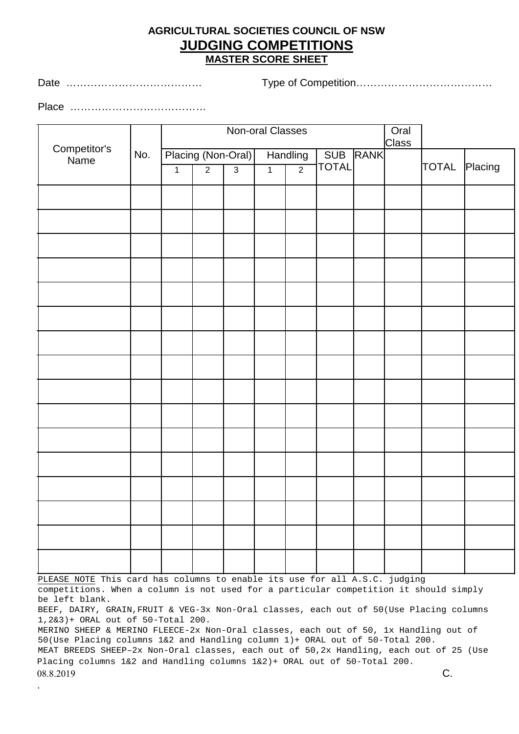## **AGRICULTURAL SOCIETIES COUNCIL OF NSW JUDGING COMPETITIONS MASTER SCORE SHEET**

Date ………………………………… Type of Competition…………………………………

Place …………………………………

.

| Non-oral Classes            |  |                    |                |                | Oral<br><b>Class</b> |                |              |             |  |               |  |
|-----------------------------|--|--------------------|----------------|----------------|----------------------|----------------|--------------|-------------|--|---------------|--|
| Competitor's<br>No.<br>Name |  | Placing (Non-Oral) |                |                | Handling             |                | SUB          | <b>RANK</b> |  |               |  |
|                             |  | $\overline{1}$     | $\overline{2}$ | $\overline{3}$ | $\overline{1}$       | $\overline{2}$ | <b>TOTAL</b> |             |  | TOTAL Placing |  |
|                             |  |                    |                |                |                      |                |              |             |  |               |  |
|                             |  |                    |                |                |                      |                |              |             |  |               |  |
|                             |  |                    |                |                |                      |                |              |             |  |               |  |
|                             |  |                    |                |                |                      |                |              |             |  |               |  |
|                             |  |                    |                |                |                      |                |              |             |  |               |  |
|                             |  |                    |                |                |                      |                |              |             |  |               |  |
|                             |  |                    |                |                |                      |                |              |             |  |               |  |
|                             |  |                    |                |                |                      |                |              |             |  |               |  |
|                             |  |                    |                |                |                      |                |              |             |  |               |  |
|                             |  |                    |                |                |                      |                |              |             |  |               |  |
|                             |  |                    |                |                |                      |                |              |             |  |               |  |
|                             |  |                    |                |                |                      |                |              |             |  |               |  |
|                             |  |                    |                |                |                      |                |              |             |  |               |  |
|                             |  |                    |                |                |                      |                |              |             |  |               |  |
|                             |  |                    |                |                |                      |                |              |             |  |               |  |
|                             |  |                    |                |                |                      |                |              |             |  |               |  |

PLEASE NOTE This card has columns to enable its use for all A.S.C. judging competitions. When a column is not used for a particular competition it should simply be left blank.

BEEF, DAIRY, GRAIN,FRUIT & VEG-3x Non-Oral classes, each out of 50(Use Placing columns 1,2&3)+ ORAL out of 50-Total 200.

MERINO SHEEP & MERINO FLEECE-2x Non-Oral classes, each out of 50, 1x Handling out of 50(Use Placing columns 1&2 and Handling column 1)+ ORAL out of 50-Total 200. MEAT BREEDS SHEEP–2x Non-Oral classes, each out of 50,2x Handling, each out of 25 (Use Placing columns 1&2 and Handling columns 1&2)+ ORAL out of 50-Total 200.  $08.8.2019$  C.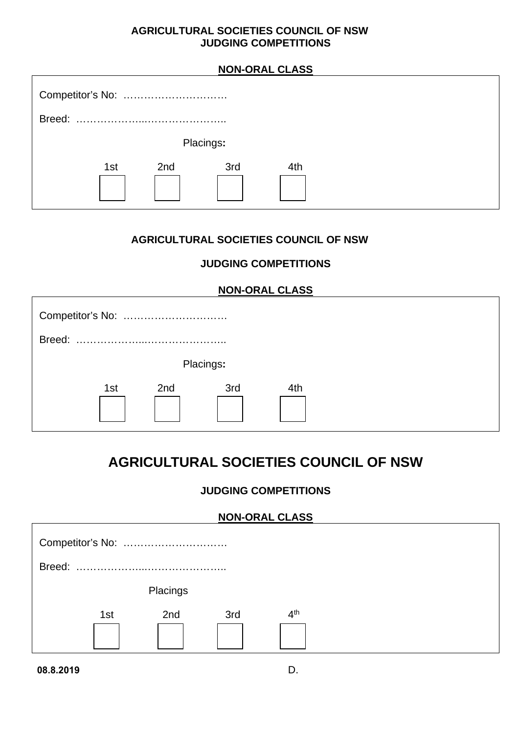# **NON-ORAL CLASS** Competitor's No: ………………………… Breed: ………………...………………….. Placings**:**  1st 2nd 3rd 4th

## **AGRICULTURAL SOCIETIES COUNCIL OF NSW**

## **JUDGING COMPETITIONS**

| <b>NON-ORAL CLASS</b> |     |     |           |     |  |  |  |
|-----------------------|-----|-----|-----------|-----|--|--|--|
|                       |     |     |           |     |  |  |  |
| Breed:                |     |     |           |     |  |  |  |
|                       |     |     | Placings: |     |  |  |  |
|                       | 1st | 2nd | 3rd       | 4th |  |  |  |

# **AGRICULTURAL SOCIETIES COUNCIL OF NSW**

## **JUDGING COMPETITIONS**

## **NON-ORAL CLASS**



**08.8.2019** D.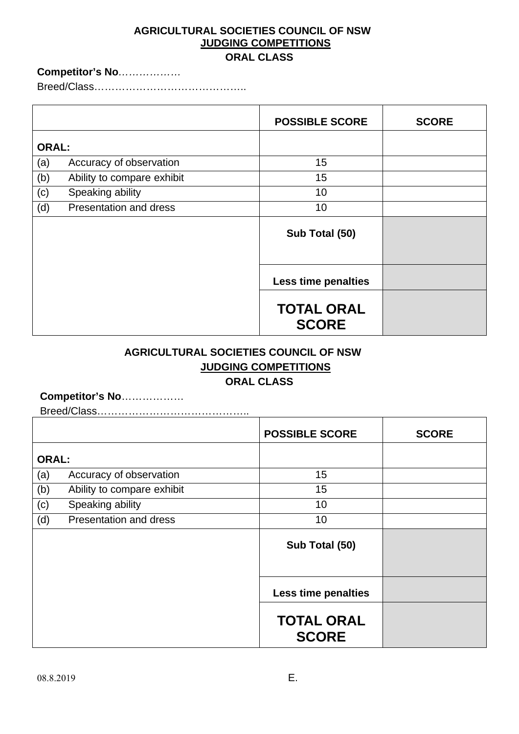#### **ORAL CLASS**

#### **Competitor's No***………………*

Breed/Class……………………………………..

|              |                            | <b>POSSIBLE SCORE</b>             | <b>SCORE</b> |
|--------------|----------------------------|-----------------------------------|--------------|
| <b>ORAL:</b> |                            |                                   |              |
| (a)          | Accuracy of observation    | 15                                |              |
| (b)          | Ability to compare exhibit | 15                                |              |
| (c)          | Speaking ability           | 10                                |              |
| (d)          | Presentation and dress     | 10                                |              |
|              |                            | Sub Total (50)                    |              |
|              |                            | Less time penalties               |              |
|              |                            | <b>TOTAL ORAL</b><br><b>SCORE</b> |              |

## **AGRICULTURAL SOCIETIES COUNCIL OF NSW JUDGING COMPETITIONS ORAL CLASS**

#### **Competitor's No**………………

Breed/Class……………………………………..

|              |                            | <b>POSSIBLE SCORE</b>             | <b>SCORE</b> |
|--------------|----------------------------|-----------------------------------|--------------|
| <b>ORAL:</b> |                            |                                   |              |
| (a)          | Accuracy of observation    | 15                                |              |
| (b)          | Ability to compare exhibit | 15                                |              |
| (c)          | Speaking ability           | 10                                |              |
| (d)          | Presentation and dress     | 10                                |              |
|              |                            | Sub Total (50)                    |              |
|              |                            | <b>Less time penalties</b>        |              |
|              |                            | <b>TOTAL ORAL</b><br><b>SCORE</b> |              |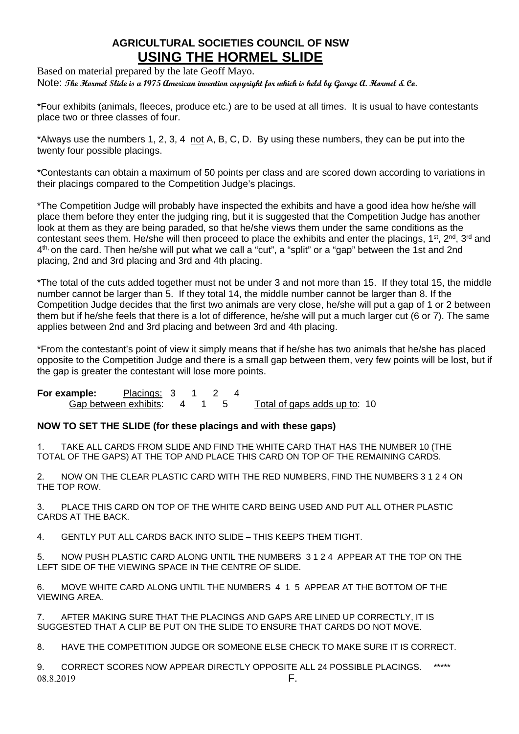## **AGRICULTURAL SOCIETIES COUNCIL OF NSW USING THE HORMEL SLIDE**

Based on material prepared by the late Geoff Mayo. Note: **The Hormel Slide is a 1975 American invention copyright for which is held by George A. Hormel & Co.**

\*Four exhibits (animals, fleeces, produce etc.) are to be used at all times. It is usual to have contestants place two or three classes of four.

\*Always use the numbers 1, 2, 3, 4 not A, B, C, D. By using these numbers, they can be put into the twenty four possible placings.

\*Contestants can obtain a maximum of 50 points per class and are scored down according to variations in their placings compared to the Competition Judge's placings.

\*The Competition Judge will probably have inspected the exhibits and have a good idea how he/she will place them before they enter the judging ring, but it is suggested that the Competition Judge has another look at them as they are being paraded, so that he/she views them under the same conditions as the contestant sees them. He/she will then proceed to place the exhibits and enter the placings, 1<sup>st</sup>, 2<sup>nd</sup>, 3<sup>rd</sup> and 4<sup>th,</sup> on the card. Then he/she will put what we call a "cut", a "split" or a "gap" between the 1st and 2nd placing, 2nd and 3rd placing and 3rd and 4th placing.

\*The total of the cuts added together must not be under 3 and not more than 15. If they total 15, the middle number cannot be larger than 5. If they total 14, the middle number cannot be larger than 8. If the Competition Judge decides that the first two animals are very close, he/she will put a gap of 1 or 2 between them but if he/she feels that there is a lot of difference, he/she will put a much larger cut (6 or 7). The same applies between 2nd and 3rd placing and between 3rd and 4th placing.

\*From the contestant's point of view it simply means that if he/she has two animals that he/she has placed opposite to the Competition Judge and there is a small gap between them, very few points will be lost, but if the gap is greater the contestant will lose more points.

**For example:** Placings: 3 1 2<br>
Gap between exhibits: 4 1 5 Gap between exhibits: 4 1 5 Total of gaps adds up to: 10

#### **NOW TO SET THE SLIDE (for these placings and with these gaps)**

1. TAKE ALL CARDS FROM SLIDE AND FIND THE WHITE CARD THAT HAS THE NUMBER 10 (THE TOTAL OF THE GAPS) AT THE TOP AND PLACE THIS CARD ON TOP OF THE REMAINING CARDS.

2. NOW ON THE CLEAR PLASTIC CARD WITH THE RED NUMBERS, FIND THE NUMBERS 3 1 2 4 ON THE TOP ROW.

3. PLACE THIS CARD ON TOP OF THE WHITE CARD BEING USED AND PUT ALL OTHER PLASTIC CARDS AT THE BACK.

4. GENTLY PUT ALL CARDS BACK INTO SLIDE – THIS KEEPS THEM TIGHT.

5. NOW PUSH PLASTIC CARD ALONG UNTIL THE NUMBERS 3 1 2 4 APPEAR AT THE TOP ON THE LEFT SIDE OF THE VIEWING SPACE IN THE CENTRE OF SLIDE.

6. MOVE WHITE CARD ALONG UNTIL THE NUMBERS 4 1 5 APPEAR AT THE BOTTOM OF THE VIEWING AREA.

7. AFTER MAKING SURE THAT THE PLACINGS AND GAPS ARE LINED UP CORRECTLY, IT IS SUGGESTED THAT A CLIP BE PUT ON THE SLIDE TO ENSURE THAT CARDS DO NOT MOVE.

8. HAVE THE COMPETITION JUDGE OR SOMEONE ELSE CHECK TO MAKE SURE IT IS CORRECT.

9. CORRECT SCORES NOW APPEAR DIRECTLY OPPOSITE ALL 24 POSSIBLE PLACINGS. \*\*\*\*\* 08.8.2019 **F.**